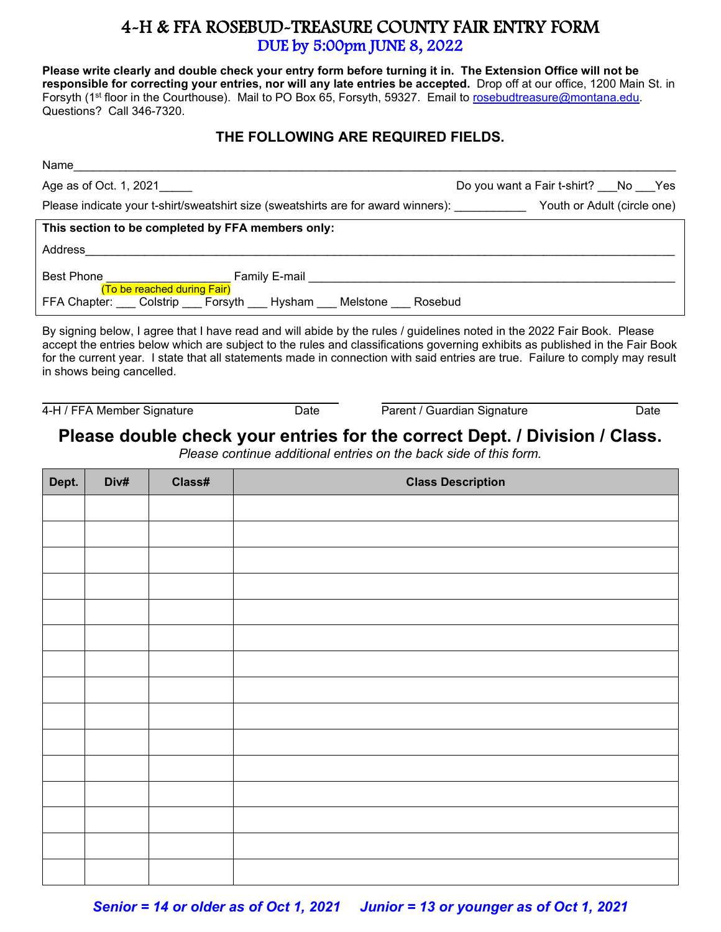## 4-H & FFA ROSEBUD-TREASURE COUNTY FAIR ENTRY FORM<br>DUE by 5:00pm JUNE 8, 2022

**Please write clearly and double check your entry form before turning it in. The Extension Office will not be responsible for correcting your entries, nor will any late entries be accepted.** Drop off at our office, 1200 Main St. in Forsyth (1<sup>st</sup> floor in the Courthouse). Mail to PO Box 65, Forsyth, 59327. Email to [rosebudtreasure@montana.edu.](mailto:rosebudtreasure@montana.edu) Questions? Call 346-7320.

## **THE FOLLOWING ARE REQUIRED FIELDS.**

| Name                                                                                                                    |                                    |  |  |  |  |
|-------------------------------------------------------------------------------------------------------------------------|------------------------------------|--|--|--|--|
| Age as of Oct. 1, 2021                                                                                                  | Do you want a Fair t-shirt? No Yes |  |  |  |  |
| Please indicate your t-shirt/sweatshirt size (sweatshirts are for award winners):                                       | Youth or Adult (circle one)        |  |  |  |  |
| This section to be completed by FFA members only:                                                                       |                                    |  |  |  |  |
| Address                                                                                                                 |                                    |  |  |  |  |
| Best Phone<br>Family E-mail <b>Example 19</b><br><u> 1990 - Johann Barn, mars et al.</u><br>(To be reached during Fair) |                                    |  |  |  |  |
| FFA Chapter: Colstrip Forsyth Hysham Melstone<br>Rosebud                                                                |                                    |  |  |  |  |

By signing below, I agree that I have read and will abide by the rules / guidelines noted in the 2022 Fair Book. Please accept the entries below which are subject to the rules and classifications governing exhibits as published in the Fair Book for the current year. I state that all statements made in connection with said entries are true. Failure to comply may result in shows being cancelled.

4-H / FFA Member Signature **Date** Date Parent / Guardian Signature Date

## **Please double check your entries for the correct Dept. / Division / Class.**

*Please continue additional entries on the back side of this form.* 

| Dept. | Div# | Class# | <b>Class Description</b> |
|-------|------|--------|--------------------------|
|       |      |        |                          |
|       |      |        |                          |
|       |      |        |                          |
|       |      |        |                          |
|       |      |        |                          |
|       |      |        |                          |
|       |      |        |                          |
|       |      |        |                          |
|       |      |        |                          |
|       |      |        |                          |
|       |      |        |                          |
|       |      |        |                          |
|       |      |        |                          |
|       |      |        |                          |
|       |      |        |                          |

*Senior = 14 or older as of Oct 1, 2021 Junior = 13 or younger as of Oct 1, 2021*